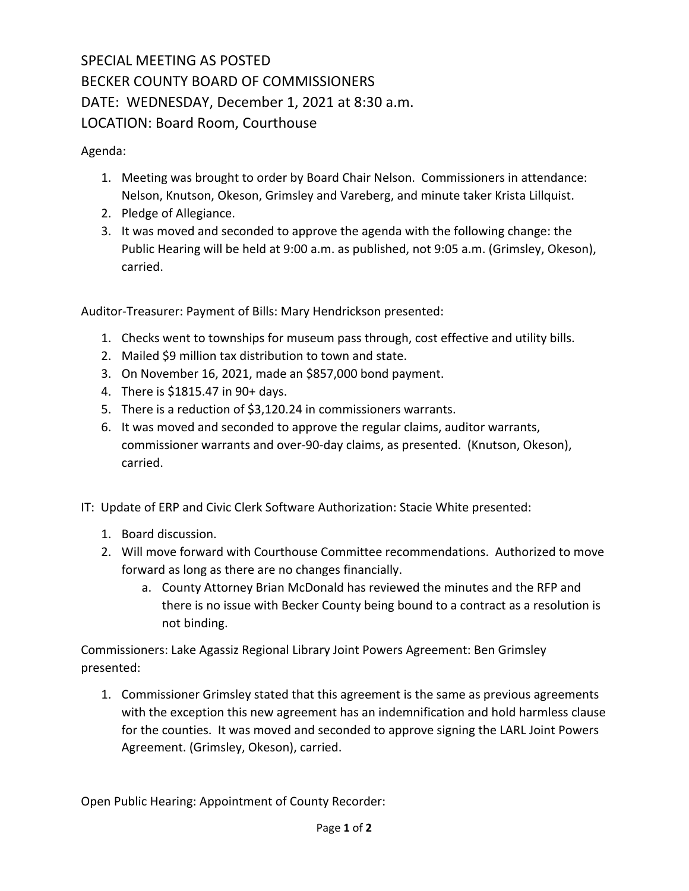## SPECIAL MEETING AS POSTED BECKER COUNTY BOARD OF COMMISSIONERS DATE: WEDNESDAY, December 1, 2021 at 8:30 a.m. LOCATION: Board Room, Courthouse

Agenda:

- 1. Meeting was brought to order by Board Chair Nelson. Commissioners in attendance: Nelson, Knutson, Okeson, Grimsley and Vareberg, and minute taker Krista Lillquist.
- 2. Pledge of Allegiance.
- 3. It was moved and seconded to approve the agenda with the following change: the Public Hearing will be held at 9:00 a.m. as published, not 9:05 a.m. (Grimsley, Okeson), carried.

Auditor‐Treasurer: Payment of Bills: Mary Hendrickson presented:

- 1. Checks went to townships for museum pass through, cost effective and utility bills.
- 2. Mailed \$9 million tax distribution to town and state.
- 3. On November 16, 2021, made an \$857,000 bond payment.
- 4. There is \$1815.47 in 90+ days.
- 5. There is a reduction of \$3,120.24 in commissioners warrants.
- 6. It was moved and seconded to approve the regular claims, auditor warrants, commissioner warrants and over‐90‐day claims, as presented. (Knutson, Okeson), carried.
- IT: Update of ERP and Civic Clerk Software Authorization: Stacie White presented:
	- 1. Board discussion.
	- 2. Will move forward with Courthouse Committee recommendations. Authorized to move forward as long as there are no changes financially.
		- a. County Attorney Brian McDonald has reviewed the minutes and the RFP and there is no issue with Becker County being bound to a contract as a resolution is not binding.

Commissioners: Lake Agassiz Regional Library Joint Powers Agreement: Ben Grimsley presented:

1. Commissioner Grimsley stated that this agreement is the same as previous agreements with the exception this new agreement has an indemnification and hold harmless clause for the counties. It was moved and seconded to approve signing the LARL Joint Powers Agreement. (Grimsley, Okeson), carried.

Open Public Hearing: Appointment of County Recorder: